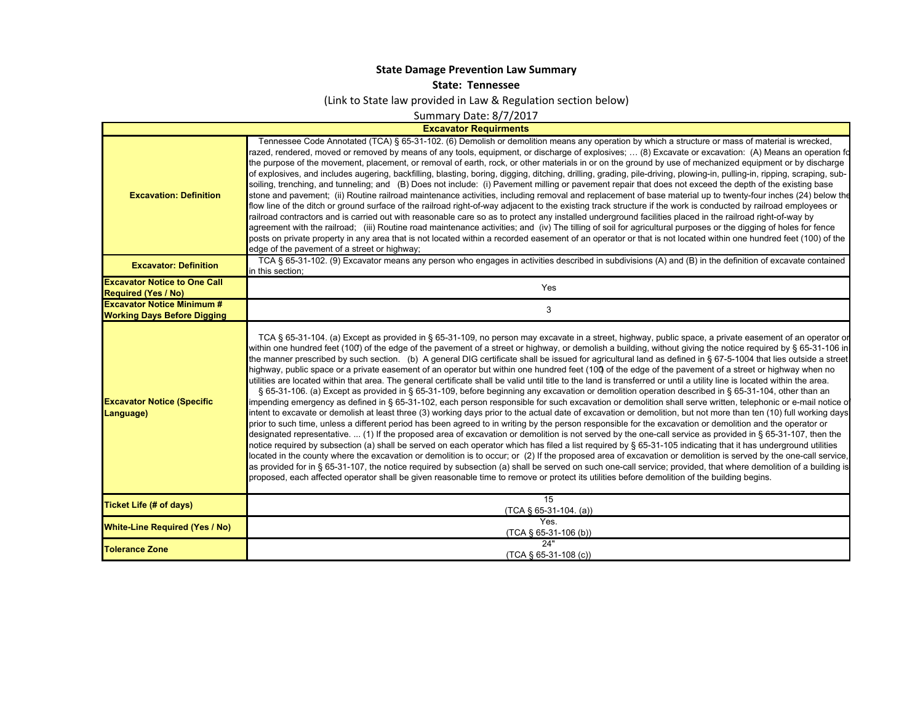## **State Damage Prevention Law Summary**

## **State: Tennessee**

(Link to State law provided in Law & Regulation section below)

Summary Date: 8/7/2017

## **Excavator Requirments**

 $\blacksquare$ 

| <b>Excavation: Definition</b>                                           | Tennessee Code Annotated (TCA) § 65-31-102. (6) Demolish or demolition means any operation by which a structure or mass of material is wrecked,<br>azed, rendered, moved or removed by means of any tools, equipment, or discharge of explosives;  (8) Excavate or excavation: (A) Means an operation fo<br>the purpose of the movement, placement, or removal of earth, rock, or other materials in or on the ground by use of mechanized equipment or by discharge<br>of explosives, and includes augering, backfilling, blasting, boring, digging, ditching, drilling, grading, pile-driving, plowing-in, pulling-in, ripping, scraping, sub-<br>soiling, trenching, and tunneling; and (B) Does not include: (i) Pavement milling or pavement repair that does not exceed the depth of the existing base<br>stone and pavement; (ii) Routine railroad maintenance activities, including removal and replacement of base material up to twenty-four inches (24) below the<br>flow line of the ditch or ground surface of the railroad right-of-way adjacent to the existing track structure if the work is conducted by railroad employees or<br>railroad contractors and is carried out with reasonable care so as to protect any installed underground facilities placed in the railroad right-of-way by<br>agreement with the railroad; (iii) Routine road maintenance activities; and (iv) The tilling of soil for agricultural purposes or the digging of holes for fence<br>posts on private property in any area that is not located within a recorded easement of an operator or that is not located within one hundred feet (100) of the<br>edge of the pavement of a street or highway;                                                                                                                                                                                                                                                                                                                                                                                                                                                                                                                                                                                                                   |
|-------------------------------------------------------------------------|------------------------------------------------------------------------------------------------------------------------------------------------------------------------------------------------------------------------------------------------------------------------------------------------------------------------------------------------------------------------------------------------------------------------------------------------------------------------------------------------------------------------------------------------------------------------------------------------------------------------------------------------------------------------------------------------------------------------------------------------------------------------------------------------------------------------------------------------------------------------------------------------------------------------------------------------------------------------------------------------------------------------------------------------------------------------------------------------------------------------------------------------------------------------------------------------------------------------------------------------------------------------------------------------------------------------------------------------------------------------------------------------------------------------------------------------------------------------------------------------------------------------------------------------------------------------------------------------------------------------------------------------------------------------------------------------------------------------------------------------------------------------------------------------------------------------------------------------------------------------------------------------------------------------------------------------------------------------------------------------------------------------------------------------------------------------------------------------------------------------------------------------------------------------------------------------------------------------------------------------------------------------------------------------------------------------|
| <b>Excavator: Definition</b>                                            | TCA § 65-31-102. (9) Excavator means any person who engages in activities described in subdivisions (A) and (B) in the definition of excavate contained<br>in this section;                                                                                                                                                                                                                                                                                                                                                                                                                                                                                                                                                                                                                                                                                                                                                                                                                                                                                                                                                                                                                                                                                                                                                                                                                                                                                                                                                                                                                                                                                                                                                                                                                                                                                                                                                                                                                                                                                                                                                                                                                                                                                                                                            |
| <b>Excavator Notice to One Call</b><br><b>Required (Yes / No)</b>       | Yes                                                                                                                                                                                                                                                                                                                                                                                                                                                                                                                                                                                                                                                                                                                                                                                                                                                                                                                                                                                                                                                                                                                                                                                                                                                                                                                                                                                                                                                                                                                                                                                                                                                                                                                                                                                                                                                                                                                                                                                                                                                                                                                                                                                                                                                                                                                    |
| <b>Excavator Notice Minimum #</b><br><b>Working Days Before Digging</b> | 3                                                                                                                                                                                                                                                                                                                                                                                                                                                                                                                                                                                                                                                                                                                                                                                                                                                                                                                                                                                                                                                                                                                                                                                                                                                                                                                                                                                                                                                                                                                                                                                                                                                                                                                                                                                                                                                                                                                                                                                                                                                                                                                                                                                                                                                                                                                      |
| <b>Excavator Notice (Specific</b><br>Language)                          | TCA § 65-31-104. (a) Except as provided in § 65-31-109, no person may excavate in a street, highway, public space, a private easement of an operator or<br>within one hundred feet (100) of the edge of the pavement of a street or highway, or demolish a building, without giving the notice required by § 65-31-106 in<br>the manner prescribed by such section. (b) A general DIG certificate shall be issued for agricultural land as defined in § 67-5-1004 that lies outside a street<br>highway, public space or a private easement of an operator but within one hundred feet (100) of the edge of the pavement of a street or highway when no<br>utilities are located within that area. The general certificate shall be valid until title to the land is transferred or until a utility line is located within the area.<br>§ 65-31-106. (a) Except as provided in § 65-31-109, before beginning any excavation or demolition operation described in § 65-31-104, other than an<br>impending emergency as defined in § 65-31-102, each person responsible for such excavation or demolition shall serve written, telephonic or e-mail notice o<br>intent to excavate or demolish at least three (3) working days prior to the actual date of excavation or demolition, but not more than ten (10) full working days<br>prior to such time, unless a different period has been agreed to in writing by the person responsible for the excavation or demolition and the operator or<br>designated representative.  (1) If the proposed area of excavation or demolition is not served by the one-call service as provided in § 65-31-107, then the<br>notice required by subsection (a) shall be served on each operator which has filed a list required by § 65-31-105 indicating that it has underground utilities<br>located in the county where the excavation or demolition is to occur; or (2) If the proposed area of excavation or demolition is served by the one-call service,<br>as provided for in § 65-31-107, the notice required by subsection (a) shall be served on such one-call service; provided, that where demolition of a building is<br>proposed, each affected operator shall be given reasonable time to remove or protect its utilities before demolition of the building begins. |
| <b>Ticket Life (# of days)</b>                                          | 15<br>$(TCA \S 65-31-104. (a))$                                                                                                                                                                                                                                                                                                                                                                                                                                                                                                                                                                                                                                                                                                                                                                                                                                                                                                                                                                                                                                                                                                                                                                                                                                                                                                                                                                                                                                                                                                                                                                                                                                                                                                                                                                                                                                                                                                                                                                                                                                                                                                                                                                                                                                                                                        |
| <b>White-Line Required (Yes / No)</b>                                   | Yes.<br>$(TCA \S 65-31-106(b))$                                                                                                                                                                                                                                                                                                                                                                                                                                                                                                                                                                                                                                                                                                                                                                                                                                                                                                                                                                                                                                                                                                                                                                                                                                                                                                                                                                                                                                                                                                                                                                                                                                                                                                                                                                                                                                                                                                                                                                                                                                                                                                                                                                                                                                                                                        |
| <b>Tolerance Zone</b>                                                   | 24"<br>$(TCA \S 65-31-108 (c))$                                                                                                                                                                                                                                                                                                                                                                                                                                                                                                                                                                                                                                                                                                                                                                                                                                                                                                                                                                                                                                                                                                                                                                                                                                                                                                                                                                                                                                                                                                                                                                                                                                                                                                                                                                                                                                                                                                                                                                                                                                                                                                                                                                                                                                                                                        |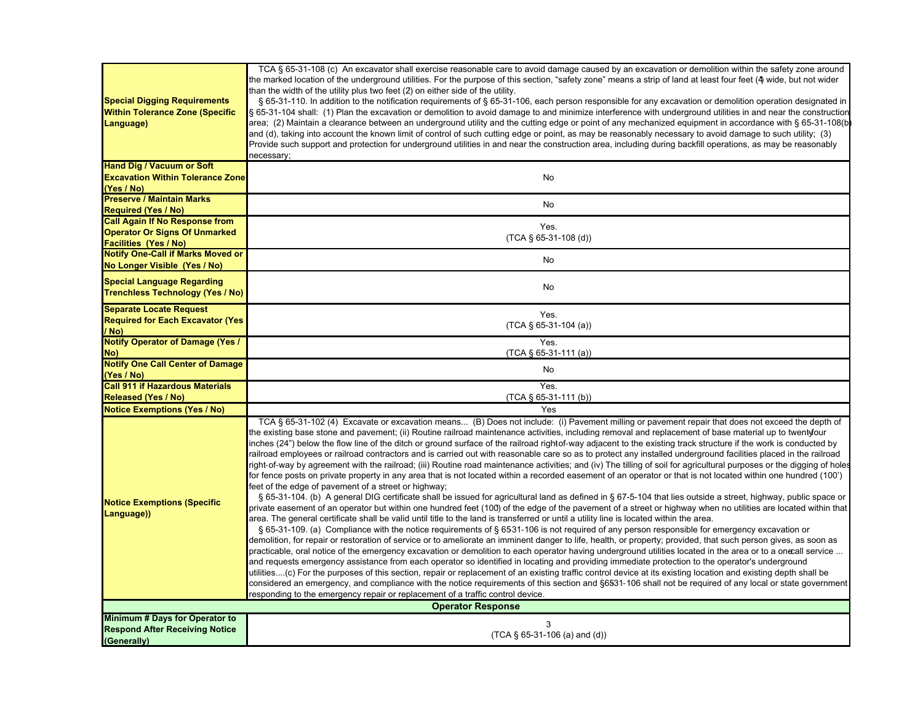| <b>Special Digging Requirements</b><br><b>Within Tolerance Zone (Specific</b><br>Language)                    | TCA § 65-31-108 (c) An excavator shall exercise reasonable care to avoid damage caused by an excavation or demolition within the safety zone around<br>the marked location of the underground utilities. For the purpose of this section, "safety zone" means a strip of land at least four feet (4) wide, but not wider<br>than the width of the utility plus two feet (2) on either side of the utility.<br>§ 65-31-110. In addition to the notification requirements of § 65-31-106, each person responsible for any excavation or demolition operation designated in<br>§ 65-31-104 shall: (1) Plan the excavation or demolition to avoid damage to and minimize interference with underground utilities in and near the construction<br>area; (2) Maintain a clearance between an underground utility and the cutting edge or point of any mechanized equipment in accordance with § 65-31-108(b<br>and (d), taking into account the known limit of control of such cutting edge or point, as may be reasonably necessary to avoid damage to such utility; (3)<br>Provide such support and protection for underground utilities in and near the construction area, including during backfill operations, as may be reasonably<br>necessary;                                                                                                                                                                                                                                                                                                                                                                                                                                                                                                                                                                                                                                                                                                                                                                                                                                                                                                                                                                                                                                                                                                                                                                                                                                                                                                                                                                          |
|---------------------------------------------------------------------------------------------------------------|---------------------------------------------------------------------------------------------------------------------------------------------------------------------------------------------------------------------------------------------------------------------------------------------------------------------------------------------------------------------------------------------------------------------------------------------------------------------------------------------------------------------------------------------------------------------------------------------------------------------------------------------------------------------------------------------------------------------------------------------------------------------------------------------------------------------------------------------------------------------------------------------------------------------------------------------------------------------------------------------------------------------------------------------------------------------------------------------------------------------------------------------------------------------------------------------------------------------------------------------------------------------------------------------------------------------------------------------------------------------------------------------------------------------------------------------------------------------------------------------------------------------------------------------------------------------------------------------------------------------------------------------------------------------------------------------------------------------------------------------------------------------------------------------------------------------------------------------------------------------------------------------------------------------------------------------------------------------------------------------------------------------------------------------------------------------------------------------------------------------------------------------------------------------------------------------------------------------------------------------------------------------------------------------------------------------------------------------------------------------------------------------------------------------------------------------------------------------------------------------------------------------------------------------------------------------------------------------------------------------------|
| <b>Hand Dig / Vacuum or Soft</b><br><b>Excavation Within Tolerance Zone</b><br>(Yes / No)                     | No                                                                                                                                                                                                                                                                                                                                                                                                                                                                                                                                                                                                                                                                                                                                                                                                                                                                                                                                                                                                                                                                                                                                                                                                                                                                                                                                                                                                                                                                                                                                                                                                                                                                                                                                                                                                                                                                                                                                                                                                                                                                                                                                                                                                                                                                                                                                                                                                                                                                                                                                                                                                                        |
| <b>Preserve / Maintain Marks</b><br><b>Required (Yes / No)</b>                                                | No                                                                                                                                                                                                                                                                                                                                                                                                                                                                                                                                                                                                                                                                                                                                                                                                                                                                                                                                                                                                                                                                                                                                                                                                                                                                                                                                                                                                                                                                                                                                                                                                                                                                                                                                                                                                                                                                                                                                                                                                                                                                                                                                                                                                                                                                                                                                                                                                                                                                                                                                                                                                                        |
| <b>Call Again If No Response from</b><br><b>Operator Or Signs Of Unmarked</b><br><b>Facilities (Yes / No)</b> | Yes.<br>$(TCA \S 65-31-108$ (d))                                                                                                                                                                                                                                                                                                                                                                                                                                                                                                                                                                                                                                                                                                                                                                                                                                                                                                                                                                                                                                                                                                                                                                                                                                                                                                                                                                                                                                                                                                                                                                                                                                                                                                                                                                                                                                                                                                                                                                                                                                                                                                                                                                                                                                                                                                                                                                                                                                                                                                                                                                                          |
| <b>Notify One-Call if Marks Moved or</b><br>No Longer Visible (Yes / No)                                      | No                                                                                                                                                                                                                                                                                                                                                                                                                                                                                                                                                                                                                                                                                                                                                                                                                                                                                                                                                                                                                                                                                                                                                                                                                                                                                                                                                                                                                                                                                                                                                                                                                                                                                                                                                                                                                                                                                                                                                                                                                                                                                                                                                                                                                                                                                                                                                                                                                                                                                                                                                                                                                        |
| <b>Special Language Regarding</b><br><b>Trenchless Technology (Yes / No)</b>                                  | No                                                                                                                                                                                                                                                                                                                                                                                                                                                                                                                                                                                                                                                                                                                                                                                                                                                                                                                                                                                                                                                                                                                                                                                                                                                                                                                                                                                                                                                                                                                                                                                                                                                                                                                                                                                                                                                                                                                                                                                                                                                                                                                                                                                                                                                                                                                                                                                                                                                                                                                                                                                                                        |
| <b>Separate Locate Request</b><br><b>Required for Each Excavator (Yes)</b><br>/ No)                           | Yes.<br>$(TCA \S 65-31-104 (a))$                                                                                                                                                                                                                                                                                                                                                                                                                                                                                                                                                                                                                                                                                                                                                                                                                                                                                                                                                                                                                                                                                                                                                                                                                                                                                                                                                                                                                                                                                                                                                                                                                                                                                                                                                                                                                                                                                                                                                                                                                                                                                                                                                                                                                                                                                                                                                                                                                                                                                                                                                                                          |
| <b>Notify Operator of Damage (Yes /</b><br>No)                                                                | Yes.<br>(TCA § 65-31-111 (a))                                                                                                                                                                                                                                                                                                                                                                                                                                                                                                                                                                                                                                                                                                                                                                                                                                                                                                                                                                                                                                                                                                                                                                                                                                                                                                                                                                                                                                                                                                                                                                                                                                                                                                                                                                                                                                                                                                                                                                                                                                                                                                                                                                                                                                                                                                                                                                                                                                                                                                                                                                                             |
| <b>Notify One Call Center of Damage</b>                                                                       | No                                                                                                                                                                                                                                                                                                                                                                                                                                                                                                                                                                                                                                                                                                                                                                                                                                                                                                                                                                                                                                                                                                                                                                                                                                                                                                                                                                                                                                                                                                                                                                                                                                                                                                                                                                                                                                                                                                                                                                                                                                                                                                                                                                                                                                                                                                                                                                                                                                                                                                                                                                                                                        |
| (Yes / No)                                                                                                    |                                                                                                                                                                                                                                                                                                                                                                                                                                                                                                                                                                                                                                                                                                                                                                                                                                                                                                                                                                                                                                                                                                                                                                                                                                                                                                                                                                                                                                                                                                                                                                                                                                                                                                                                                                                                                                                                                                                                                                                                                                                                                                                                                                                                                                                                                                                                                                                                                                                                                                                                                                                                                           |
| <b>Call 911 if Hazardous Materials</b><br><b>Released (Yes / No)</b>                                          | Yes.<br>(TCA § 65-31-111 (b))                                                                                                                                                                                                                                                                                                                                                                                                                                                                                                                                                                                                                                                                                                                                                                                                                                                                                                                                                                                                                                                                                                                                                                                                                                                                                                                                                                                                                                                                                                                                                                                                                                                                                                                                                                                                                                                                                                                                                                                                                                                                                                                                                                                                                                                                                                                                                                                                                                                                                                                                                                                             |
| <b>Notice Exemptions (Yes / No)</b>                                                                           | Yes                                                                                                                                                                                                                                                                                                                                                                                                                                                                                                                                                                                                                                                                                                                                                                                                                                                                                                                                                                                                                                                                                                                                                                                                                                                                                                                                                                                                                                                                                                                                                                                                                                                                                                                                                                                                                                                                                                                                                                                                                                                                                                                                                                                                                                                                                                                                                                                                                                                                                                                                                                                                                       |
| <b>Notice Exemptions (Specific</b><br>Language))                                                              | TCA § 65-31-102 (4) Excavate or excavation means (B) Does not include: (i) Pavement milling or pavement repair that does not exceed the depth of<br>the existing base stone and pavement; (ii) Routine railroad maintenance activities, including removal and replacement of base material up to twentyfour<br>inches (24") below the flow line of the ditch or ground surface of the railroad rightof-way adjacent to the existing track structure if the work is conducted by<br>railroad employees or railroad contractors and is carried out with reasonable care so as to protect any installed underground facilities placed in the railroad<br>right-of-way by agreement with the railroad; (iii) Routine road maintenance activities; and (iv) The tilling of soil for agricultural purposes or the digging of hole:<br>for fence posts on private property in any area that is not located within a recorded easement of an operator or that is not located within one hundred (100')<br>feet of the edge of pavement of a street or highway;<br>§ 65-31-104. (b) A general DIG certificate shall be issued for agricultural land as defined in § 67-5-104 that lies outside a street, highway, public space or<br>private easement of an operator but within one hundred feet (100) of the edge of the pavement of a street or highway when no utilities are located within that<br>area. The general certificate shall be valid until title to the land is transferred or until a utility line is located within the area.<br>§ 65-31-109. (a) Compliance with the notice requirements of § 6531-106 is not required of any person responsible for emergency excavation or<br>demolition, for repair or restoration of service or to ameliorate an imminent danger to life, health, or property; provided, that such person gives, as soon as<br>practicable, oral notice of the emergency excavation or demolition to each operator having underground utilities located in the area or to a onecall service<br>and requests emergency assistance from each operator so identified in locating and providing immediate protection to the operator's underground<br>utilities(c) For the purposes of this section, repair or replacement of an existing traffic control device at its existing location and existing depth shall be<br>considered an emergency, and compliance with the notice requirements of this section and §6531-106 shall not be required of any local or state government<br>responding to the emergency repair or replacement of a traffic control device.<br><b>Operator Response</b> |
| Minimum # Days for Operator to                                                                                |                                                                                                                                                                                                                                                                                                                                                                                                                                                                                                                                                                                                                                                                                                                                                                                                                                                                                                                                                                                                                                                                                                                                                                                                                                                                                                                                                                                                                                                                                                                                                                                                                                                                                                                                                                                                                                                                                                                                                                                                                                                                                                                                                                                                                                                                                                                                                                                                                                                                                                                                                                                                                           |
| <b>Respond After Receiving Notice</b><br>(Generally)                                                          | 3<br>$(TCA \S 65-31-106 (a) and (d))$                                                                                                                                                                                                                                                                                                                                                                                                                                                                                                                                                                                                                                                                                                                                                                                                                                                                                                                                                                                                                                                                                                                                                                                                                                                                                                                                                                                                                                                                                                                                                                                                                                                                                                                                                                                                                                                                                                                                                                                                                                                                                                                                                                                                                                                                                                                                                                                                                                                                                                                                                                                     |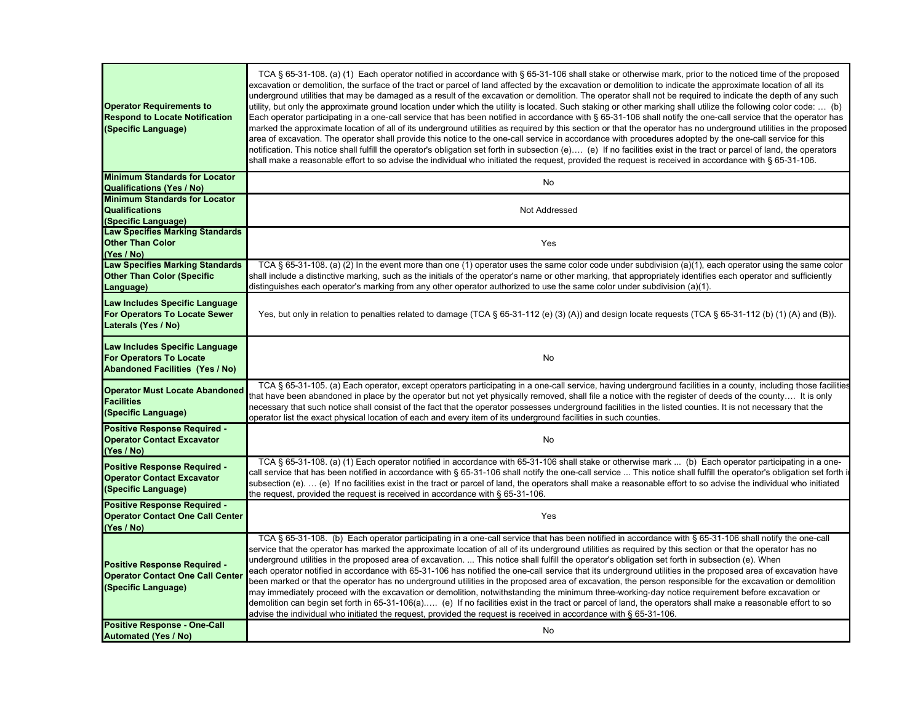| <b>Operator Requirements to</b><br><b>Respond to Locate Notification</b><br>(Specific Language)            | TCA § 65-31-108. (a) (1) Each operator notified in accordance with § 65-31-106 shall stake or otherwise mark, prior to the noticed time of the proposed<br>excavation or demolition, the surface of the tract or parcel of land affected by the excavation or demolition to indicate the approximate location of all its<br>underground utilities that may be damaged as a result of the excavation or demolition. The operator shall not be required to indicate the depth of any such<br>utility, but only the approximate ground location under which the utility is located. Such staking or other marking shall utilize the following color code:  (b)<br>Each operator participating in a one-call service that has been notified in accordance with § 65-31-106 shall notify the one-call service that the operator has<br>marked the approximate location of all of its underground utilities as required by this section or that the operator has no underground utilities in the proposed<br>area of excavation. The operator shall provide this notice to the one-call service in accordance with procedures adopted by the one-call service for this<br>notification. This notice shall fulfill the operator's obligation set forth in subsection (e) (e) If no facilities exist in the tract or parcel of land, the operators<br>shall make a reasonable effort to so advise the individual who initiated the request, provided the request is received in accordance with § 65-31-106. |
|------------------------------------------------------------------------------------------------------------|------------------------------------------------------------------------------------------------------------------------------------------------------------------------------------------------------------------------------------------------------------------------------------------------------------------------------------------------------------------------------------------------------------------------------------------------------------------------------------------------------------------------------------------------------------------------------------------------------------------------------------------------------------------------------------------------------------------------------------------------------------------------------------------------------------------------------------------------------------------------------------------------------------------------------------------------------------------------------------------------------------------------------------------------------------------------------------------------------------------------------------------------------------------------------------------------------------------------------------------------------------------------------------------------------------------------------------------------------------------------------------------------------------------------------------------------------------------------------------------------------|
| <b>Minimum Standards for Locator</b>                                                                       | No                                                                                                                                                                                                                                                                                                                                                                                                                                                                                                                                                                                                                                                                                                                                                                                                                                                                                                                                                                                                                                                                                                                                                                                                                                                                                                                                                                                                                                                                                                   |
| <b>Qualifications (Yes / No)</b><br><b>Minimum Standards for Locator</b>                                   |                                                                                                                                                                                                                                                                                                                                                                                                                                                                                                                                                                                                                                                                                                                                                                                                                                                                                                                                                                                                                                                                                                                                                                                                                                                                                                                                                                                                                                                                                                      |
| <b>Qualifications</b><br>(Specific Language)                                                               | Not Addressed                                                                                                                                                                                                                                                                                                                                                                                                                                                                                                                                                                                                                                                                                                                                                                                                                                                                                                                                                                                                                                                                                                                                                                                                                                                                                                                                                                                                                                                                                        |
| <b>Law Specifies Marking Standards</b><br><b>Other Than Color</b><br>(Yes / No)                            | Yes                                                                                                                                                                                                                                                                                                                                                                                                                                                                                                                                                                                                                                                                                                                                                                                                                                                                                                                                                                                                                                                                                                                                                                                                                                                                                                                                                                                                                                                                                                  |
| <b>Law Specifies Marking Standards</b><br><b>Other Than Color (Specific</b><br>Language)                   | TCA § 65-31-108. (a) (2) In the event more than one (1) operator uses the same color code under subdivision (a)(1), each operator using the same color<br>shall include a distinctive marking, such as the initials of the operator's name or other marking, that appropriately identifies each operator and sufficiently<br>distinguishes each operator's marking from any other operator authorized to use the same color under subdivision $(a)(1)$ .                                                                                                                                                                                                                                                                                                                                                                                                                                                                                                                                                                                                                                                                                                                                                                                                                                                                                                                                                                                                                                             |
| Law Includes Specific Language<br>For Operators To Locate Sewer<br>Laterals (Yes / No)                     | Yes, but only in relation to penalties related to damage (TCA § 65-31-112 (e) (3) (A)) and design locate requests (TCA § 65-31-112 (b) (1) (A) and (B)).                                                                                                                                                                                                                                                                                                                                                                                                                                                                                                                                                                                                                                                                                                                                                                                                                                                                                                                                                                                                                                                                                                                                                                                                                                                                                                                                             |
| Law Includes Specific Language<br><b>For Operators To Locate</b><br><b>Abandoned Facilities (Yes / No)</b> | No                                                                                                                                                                                                                                                                                                                                                                                                                                                                                                                                                                                                                                                                                                                                                                                                                                                                                                                                                                                                                                                                                                                                                                                                                                                                                                                                                                                                                                                                                                   |
| <b>Operator Must Locate Abandoned</b><br><b>Facilities</b><br>(Specific Language)                          | TCA § 65-31-105. (a) Each operator, except operators participating in a one-call service, having underground facilities in a county, including those facilities<br>that have been abandoned in place by the operator but not yet physically removed, shall file a notice with the register of deeds of the county It is only<br>necessary that such notice shall consist of the fact that the operator possesses underground facilities in the listed counties. It is not necessary that the<br>operator list the exact physical location of each and every item of its underground facilities in such counties.                                                                                                                                                                                                                                                                                                                                                                                                                                                                                                                                                                                                                                                                                                                                                                                                                                                                                     |
| <b>Positive Response Required -</b><br><b>Operator Contact Excavator</b><br>(Yes / No)                     | No                                                                                                                                                                                                                                                                                                                                                                                                                                                                                                                                                                                                                                                                                                                                                                                                                                                                                                                                                                                                                                                                                                                                                                                                                                                                                                                                                                                                                                                                                                   |
| <b>Positive Response Required -</b><br><b>Operator Contact Excavator</b><br>(Specific Language)            | TCA § 65-31-108. (a) (1) Each operator notified in accordance with 65-31-106 shall stake or otherwise mark  (b) Each operator participating in a one-<br>call service that has been notified in accordance with § 65-31-106 shall notify the one-call service  This notice shall fulfill the operator's obligation set forth i<br>subsection (e).  (e) If no facilities exist in the tract or parcel of land, the operators shall make a reasonable effort to so advise the individual who initiated<br>the request, provided the request is received in accordance with § 65-31-106.                                                                                                                                                                                                                                                                                                                                                                                                                                                                                                                                                                                                                                                                                                                                                                                                                                                                                                                |
| Positive Response Required -<br><b>Operator Contact One Call Center</b><br>(Yes / No)                      | Yes                                                                                                                                                                                                                                                                                                                                                                                                                                                                                                                                                                                                                                                                                                                                                                                                                                                                                                                                                                                                                                                                                                                                                                                                                                                                                                                                                                                                                                                                                                  |
| <b>Positive Response Required -</b><br><b>Operator Contact One Call Center</b><br>(Specific Language)      | TCA § 65-31-108. (b) Each operator participating in a one-call service that has been notified in accordance with § 65-31-106 shall notify the one-call<br>service that the operator has marked the approximate location of all of its underground utilities as required by this section or that the operator has no<br>underground utilities in the proposed area of excavation.  This notice shall fulfill the operator's obligation set forth in subsection (e). When<br>each operator notified in accordance with 65-31-106 has notified the one-call service that its underground utilities in the proposed area of excavation have<br>been marked or that the operator has no underground utilities in the proposed area of excavation, the person responsible for the excavation or demolition<br>may immediately proceed with the excavation or demolition, notwithstanding the minimum three-working-day notice requirement before excavation or<br>demolition can begin set forth in 65-31-106(a) (e) If no facilities exist in the tract or parcel of land, the operators shall make a reasonable effort to so<br>advise the individual who initiated the request, provided the request is received in accordance with § 65-31-106.                                                                                                                                                                                                                                                        |
| <b>Positive Response - One-Call</b><br><b>Automated (Yes / No)</b>                                         | No                                                                                                                                                                                                                                                                                                                                                                                                                                                                                                                                                                                                                                                                                                                                                                                                                                                                                                                                                                                                                                                                                                                                                                                                                                                                                                                                                                                                                                                                                                   |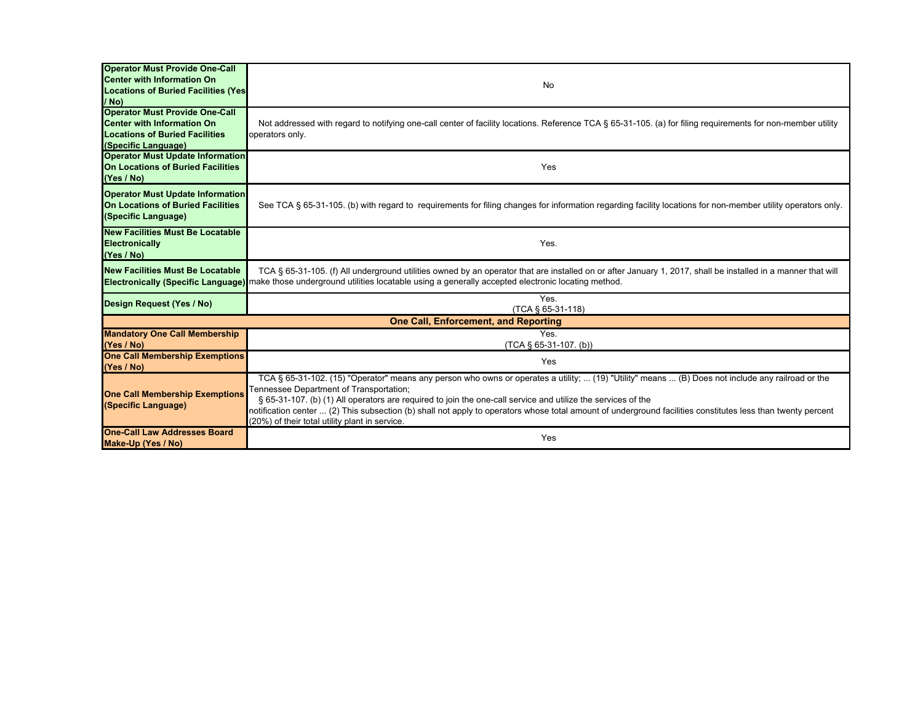| <b>Operator Must Provide One-Call</b>                        |                                                                                                                                                              |
|--------------------------------------------------------------|--------------------------------------------------------------------------------------------------------------------------------------------------------------|
| <b>Center with Information On</b>                            |                                                                                                                                                              |
| <b>Locations of Buried Facilities (Yes)</b>                  | No                                                                                                                                                           |
| / No)                                                        |                                                                                                                                                              |
| <b>Operator Must Provide One-Call</b>                        |                                                                                                                                                              |
| <b>Center with Information On</b>                            | Not addressed with regard to notifying one-call center of facility locations. Reference TCA § 65-31-105. (a) for filing requirements for non-member utility  |
| <b>Locations of Buried Facilities</b>                        | operators only.                                                                                                                                              |
| (Specific Language)                                          |                                                                                                                                                              |
| <b>Operator Must Update Information</b>                      |                                                                                                                                                              |
| <b>On Locations of Buried Facilities</b>                     | Yes                                                                                                                                                          |
| (Yes / No)                                                   |                                                                                                                                                              |
| <b>Operator Must Update Information</b>                      |                                                                                                                                                              |
| On Locations of Buried Facilities                            | See TCA § 65-31-105. (b) with regard to requirements for filing changes for information regarding facility locations for non-member utility operators only.  |
| (Specific Language)                                          |                                                                                                                                                              |
| <b>New Facilities Must Be Locatable</b>                      |                                                                                                                                                              |
| Electronically                                               | Yes.                                                                                                                                                         |
| (Yes / No)                                                   |                                                                                                                                                              |
| <b>New Facilities Must Be Locatable</b>                      | TCA § 65-31-105. (f) All underground utilities owned by an operator that are installed on or after January 1, 2017, shall be installed in a manner that will |
|                                                              | Electronically (Specific Language) make those underground utilities locatable using a generally accepted electronic locating method.                         |
|                                                              | Yes.                                                                                                                                                         |
| Design Request (Yes / No)                                    | (TCA § 65-31-118)                                                                                                                                            |
|                                                              | <b>One Call, Enforcement, and Reporting</b>                                                                                                                  |
| <b>Mandatory One Call Membership</b>                         | Yes.                                                                                                                                                         |
| (Yes / No)                                                   | (TCA § 65-31-107. (b))                                                                                                                                       |
| <b>One Call Membership Exemptions</b>                        | Yes                                                                                                                                                          |
| (Yes / No)                                                   |                                                                                                                                                              |
|                                                              | TCA § 65-31-102. (15) "Operator" means any person who owns or operates a utility;  (19) "Utility" means  (B) Does not include any railroad or the            |
| <b>One Call Membership Exemptions</b><br>(Specific Language) | Fennessee Department of Transportation;                                                                                                                      |
|                                                              | § 65-31-107. (b) (1) All operators are required to join the one-call service and utilize the services of the                                                 |
|                                                              | notification center  (2) This subsection (b) shall not apply to operators whose total amount of underground facilities constitutes less than twenty percent  |
| <b>One-Call Law Addresses Board</b>                          | (20%) of their total utility plant in service.                                                                                                               |
| Make-Up (Yes / No)                                           | Yes                                                                                                                                                          |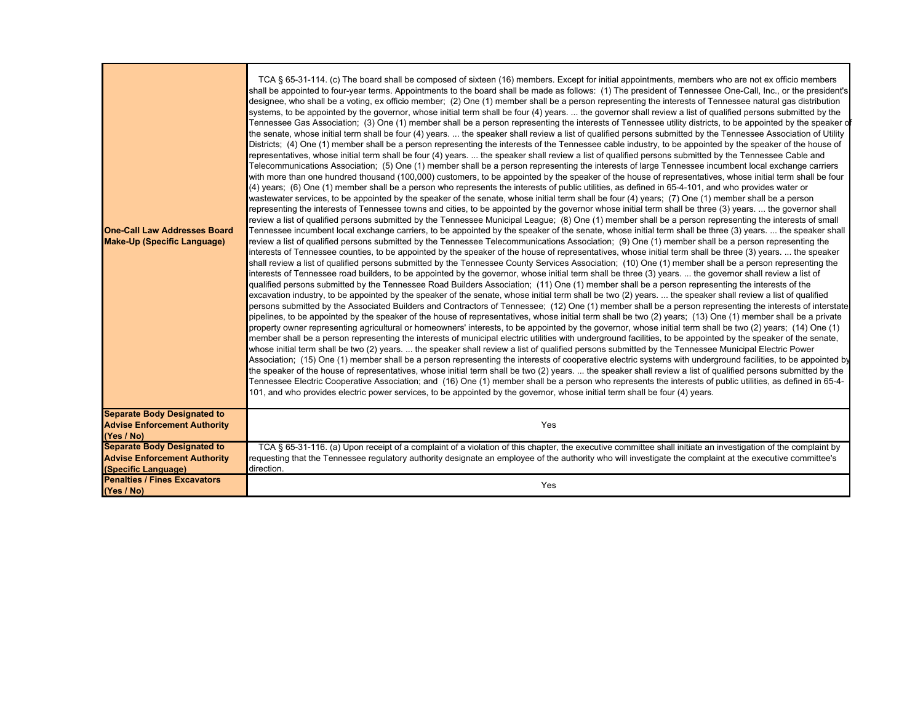| <b>One-Call Law Addresses Board</b><br><b>Make-Up (Specific Language)</b>                        | TCA § 65-31-114. (c) The board shall be composed of sixteen (16) members. Except for initial appointments, members who are not ex officio members<br>shall be appointed to four-year terms. Appointments to the board shall be made as follows: (1) The president of Tennessee One-Call, Inc., or the president's<br>designee, who shall be a voting, ex officio member; (2) One (1) member shall be a person representing the interests of Tennessee natural gas distribution<br>systems, to be appointed by the governor, whose initial term shall be four (4) years.  the governor shall review a list of qualified persons submitted by the<br>Tennessee Gas Association; (3) One (1) member shall be a person representing the interests of Tennessee utility districts, to be appointed by the speaker o<br>the senate, whose initial term shall be four (4) years.  the speaker shall review a list of qualified persons submitted by the Tennessee Association of Utility<br>Districts; (4) One (1) member shall be a person representing the interests of the Tennessee cable industry, to be appointed by the speaker of the house of<br>representatives, whose initial term shall be four (4) years.  the speaker shall review a list of qualified persons submitted by the Tennessee Cable and<br>Telecommunications Association; (5) One (1) member shall be a person representing the interests of large Tennessee incumbent local exchange carriers<br>with more than one hundred thousand (100,000) customers, to be appointed by the speaker of the house of representatives, whose initial term shall be four<br>(4) years; (6) One (1) member shall be a person who represents the interests of public utilities, as defined in 65-4-101, and who provides water or<br>wastewater services, to be appointed by the speaker of the senate, whose initial term shall be four (4) years; (7) One (1) member shall be a person<br>representing the interests of Tennessee towns and cities, to be appointed by the governor whose initial term shall be three (3) years.  the governor shall<br>review a list of qualified persons submitted by the Tennessee Municipal League; (8) One (1) member shall be a person representing the interests of small<br>Tennessee incumbent local exchange carriers, to be appointed by the speaker of the senate, whose initial term shall be three (3) years.  the speaker shall<br>review a list of qualified persons submitted by the Tennessee Telecommunications Association; (9) One (1) member shall be a person representing the<br>interests of Tennessee counties, to be appointed by the speaker of the house of representatives, whose initial term shall be three (3) years.  the speaker<br>shall review a list of qualified persons submitted by the Tennessee County Services Association; (10) One (1) member shall be a person representing the<br>interests of Tennessee road builders, to be appointed by the governor, whose initial term shall be three (3) years.  the governor shall review a list of<br>qualified persons submitted by the Tennessee Road Builders Association; (11) One (1) member shall be a person representing the interests of the<br>excavation industry, to be appointed by the speaker of the senate, whose initial term shall be two (2) years.  the speaker shall review a list of qualified<br>persons submitted by the Associated Builders and Contractors of Tennessee; (12) One (1) member shall be a person representing the interests of interstate<br>pipelines, to be appointed by the speaker of the house of representatives, whose initial term shall be two (2) years; (13) One (1) member shall be a private<br>property owner representing agricultural or homeowners' interests, to be appointed by the governor, whose initial term shall be two (2) years; (14) One (1)<br>member shall be a person representing the interests of municipal electric utilities with underground facilities, to be appointed by the speaker of the senate,<br>whose initial term shall be two (2) years.  the speaker shall review a list of qualified persons submitted by the Tennessee Municipal Electric Power<br>Association; (15) One (1) member shall be a person representing the interests of cooperative electric systems with underground facilities, to be appointed by<br>the speaker of the house of representatives, whose initial term shall be two (2) years.  the speaker shall review a list of qualified persons submitted by the<br>Tennessee Electric Cooperative Association; and (16) One (1) member shall be a person who represents the interests of public utilities, as defined in 65-4-<br>101, and who provides electric power services, to be appointed by the governor, whose initial term shall be four (4) years. |
|--------------------------------------------------------------------------------------------------|------------------------------------------------------------------------------------------------------------------------------------------------------------------------------------------------------------------------------------------------------------------------------------------------------------------------------------------------------------------------------------------------------------------------------------------------------------------------------------------------------------------------------------------------------------------------------------------------------------------------------------------------------------------------------------------------------------------------------------------------------------------------------------------------------------------------------------------------------------------------------------------------------------------------------------------------------------------------------------------------------------------------------------------------------------------------------------------------------------------------------------------------------------------------------------------------------------------------------------------------------------------------------------------------------------------------------------------------------------------------------------------------------------------------------------------------------------------------------------------------------------------------------------------------------------------------------------------------------------------------------------------------------------------------------------------------------------------------------------------------------------------------------------------------------------------------------------------------------------------------------------------------------------------------------------------------------------------------------------------------------------------------------------------------------------------------------------------------------------------------------------------------------------------------------------------------------------------------------------------------------------------------------------------------------------------------------------------------------------------------------------------------------------------------------------------------------------------------------------------------------------------------------------------------------------------------------------------------------------------------------------------------------------------------------------------------------------------------------------------------------------------------------------------------------------------------------------------------------------------------------------------------------------------------------------------------------------------------------------------------------------------------------------------------------------------------------------------------------------------------------------------------------------------------------------------------------------------------------------------------------------------------------------------------------------------------------------------------------------------------------------------------------------------------------------------------------------------------------------------------------------------------------------------------------------------------------------------------------------------------------------------------------------------------------------------------------------------------------------------------------------------------------------------------------------------------------------------------------------------------------------------------------------------------------------------------------------------------------------------------------------------------------------------------------------------------------------------------------------------------------------------------------------------------------------------------------------------------------------------------------------------------------------------------------------------------------------------------------------------------------------------------------------------------------------------------------------------------------------------------------------------------------------------------------------------------------------------------------------------------------------------------------------------------------------------------------------------------------------------------------------------------------------------------------------------------------------------------------------|
| <b>Separate Body Designated to</b><br><b>Advise Enforcement Authority</b><br>(Yes / No)          | Yes                                                                                                                                                                                                                                                                                                                                                                                                                                                                                                                                                                                                                                                                                                                                                                                                                                                                                                                                                                                                                                                                                                                                                                                                                                                                                                                                                                                                                                                                                                                                                                                                                                                                                                                                                                                                                                                                                                                                                                                                                                                                                                                                                                                                                                                                                                                                                                                                                                                                                                                                                                                                                                                                                                                                                                                                                                                                                                                                                                                                                                                                                                                                                                                                                                                                                                                                                                                                                                                                                                                                                                                                                                                                                                                                                                                                                                                                                                                                                                                                                                                                                                                                                                                                                                                                                                                                                                                                                                                                                                                                                                                                                                                                                                                                                                                                                                                        |
| <b>Separate Body Designated to</b><br><b>Advise Enforcement Authority</b><br>(Specific Language) | TCA § 65-31-116. (a) Upon receipt of a complaint of a violation of this chapter, the executive committee shall initiate an investigation of the complaint by<br>requesting that the Tennessee regulatory authority designate an employee of the authority who will investigate the complaint at the executive committee's<br>direction.                                                                                                                                                                                                                                                                                                                                                                                                                                                                                                                                                                                                                                                                                                                                                                                                                                                                                                                                                                                                                                                                                                                                                                                                                                                                                                                                                                                                                                                                                                                                                                                                                                                                                                                                                                                                                                                                                                                                                                                                                                                                                                                                                                                                                                                                                                                                                                                                                                                                                                                                                                                                                                                                                                                                                                                                                                                                                                                                                                                                                                                                                                                                                                                                                                                                                                                                                                                                                                                                                                                                                                                                                                                                                                                                                                                                                                                                                                                                                                                                                                                                                                                                                                                                                                                                                                                                                                                                                                                                                                                    |
| <b>Penalties / Fines Excavators</b><br>(Yes / No)                                                | Yes                                                                                                                                                                                                                                                                                                                                                                                                                                                                                                                                                                                                                                                                                                                                                                                                                                                                                                                                                                                                                                                                                                                                                                                                                                                                                                                                                                                                                                                                                                                                                                                                                                                                                                                                                                                                                                                                                                                                                                                                                                                                                                                                                                                                                                                                                                                                                                                                                                                                                                                                                                                                                                                                                                                                                                                                                                                                                                                                                                                                                                                                                                                                                                                                                                                                                                                                                                                                                                                                                                                                                                                                                                                                                                                                                                                                                                                                                                                                                                                                                                                                                                                                                                                                                                                                                                                                                                                                                                                                                                                                                                                                                                                                                                                                                                                                                                                        |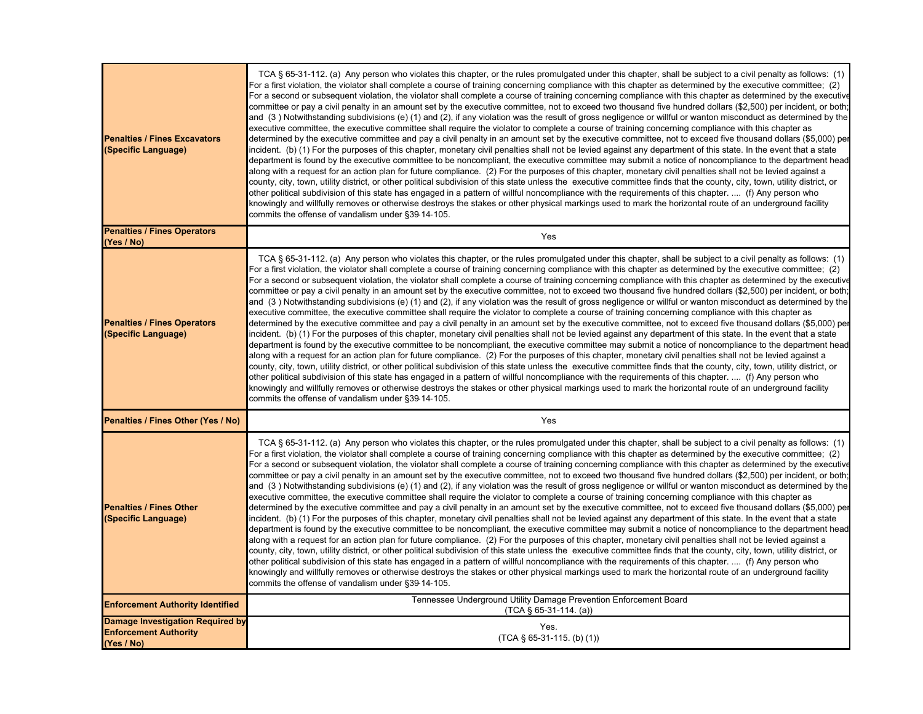| <b>Penalties / Fines Excavators</b><br>(Specific Language)                            | TCA § 65-31-112. (a) Any person who violates this chapter, or the rules promulgated under this chapter, shall be subject to a civil penalty as follows: (1)<br>For a first violation, the violator shall complete a course of training concerning compliance with this chapter as determined by the executive committee; (2)<br>For a second or subsequent violation, the violator shall complete a course of training concerning compliance with this chapter as determined by the executive<br>committee or pay a civil penalty in an amount set by the executive committee, not to exceed two thousand five hundred dollars (\$2,500) per incident, or both;<br>and (3 ) Notwithstanding subdivisions (e) (1) and (2), if any violation was the result of gross negligence or willful or wanton misconduct as determined by the<br>executive committee, the executive committee shall require the violator to complete a course of training concerning compliance with this chapter as<br>determined by the executive committee and pay a civil penalty in an amount set by the executive committee, not to exceed five thousand dollars (\$5,000) per<br>incident. (b) (1) For the purposes of this chapter, monetary civil penalties shall not be levied against any department of this state. In the event that a state<br>department is found by the executive committee to be noncompliant, the executive committee may submit a notice of noncompliance to the department head<br>along with a request for an action plan for future compliance. (2) For the purposes of this chapter, monetary civil penalties shall not be levied against a<br>county, city, town, utility district, or other political subdivision of this state unless the executive committee finds that the county, city, town, utility district, or<br>other political subdivision of this state has engaged in a pattern of willful noncompliance with the requirements of this chapter.  (f) Any person who<br>knowingly and willfully removes or otherwise destroys the stakes or other physical markings used to mark the horizontal route of an underground facility<br>commits the offense of vandalism under §39-14-105.  |
|---------------------------------------------------------------------------------------|------------------------------------------------------------------------------------------------------------------------------------------------------------------------------------------------------------------------------------------------------------------------------------------------------------------------------------------------------------------------------------------------------------------------------------------------------------------------------------------------------------------------------------------------------------------------------------------------------------------------------------------------------------------------------------------------------------------------------------------------------------------------------------------------------------------------------------------------------------------------------------------------------------------------------------------------------------------------------------------------------------------------------------------------------------------------------------------------------------------------------------------------------------------------------------------------------------------------------------------------------------------------------------------------------------------------------------------------------------------------------------------------------------------------------------------------------------------------------------------------------------------------------------------------------------------------------------------------------------------------------------------------------------------------------------------------------------------------------------------------------------------------------------------------------------------------------------------------------------------------------------------------------------------------------------------------------------------------------------------------------------------------------------------------------------------------------------------------------------------------------------------------------------------------------------------------------------------|
| <b>Penalties / Fines Operators</b><br>(Yes / No)                                      | Yes                                                                                                                                                                                                                                                                                                                                                                                                                                                                                                                                                                                                                                                                                                                                                                                                                                                                                                                                                                                                                                                                                                                                                                                                                                                                                                                                                                                                                                                                                                                                                                                                                                                                                                                                                                                                                                                                                                                                                                                                                                                                                                                                                                                                              |
| <b>Penalties / Fines Operators</b><br>(Specific Language)                             | TCA § 65-31-112. (a) Any person who violates this chapter, or the rules promulgated under this chapter, shall be subject to a civil penalty as follows: (1)<br>For a first violation, the violator shall complete a course of training concerning compliance with this chapter as determined by the executive committee; (2)<br>For a second or subsequent violation, the violator shall complete a course of training concerning compliance with this chapter as determined by the executive<br>committee or pay a civil penalty in an amount set by the executive committee, not to exceed two thousand five hundred dollars (\$2,500) per incident, or both;<br>and (3 ) Notwithstanding subdivisions (e) (1) and (2), if any violation was the result of gross negligence or willful or wanton misconduct as determined by the<br>executive committee, the executive committee shall require the violator to complete a course of training concerning compliance with this chapter as<br>determined by the executive committee and pay a civil penalty in an amount set by the executive committee, not to exceed five thousand dollars (\$5,000) per<br>incident. (b) (1) For the purposes of this chapter, monetary civil penalties shall not be levied against any department of this state. In the event that a state<br>department is found by the executive committee to be noncompliant, the executive committee may submit a notice of noncompliance to the department head<br>along with a request for an action plan for future compliance.  (2) For the purposes of this chapter, monetary civil penalties shall not be levied against a<br>county, city, town, utility district, or other political subdivision of this state unless the executive committee finds that the county, city, town, utility district, or<br>other political subdivision of this state has engaged in a pattern of willful noncompliance with the requirements of this chapter.  (f) Any person who<br>knowingly and willfully removes or otherwise destroys the stakes or other physical markings used to mark the horizontal route of an underground facility<br>commits the offense of vandalism under §39-14-105. |
| Penalties / Fines Other (Yes / No)                                                    | Yes                                                                                                                                                                                                                                                                                                                                                                                                                                                                                                                                                                                                                                                                                                                                                                                                                                                                                                                                                                                                                                                                                                                                                                                                                                                                                                                                                                                                                                                                                                                                                                                                                                                                                                                                                                                                                                                                                                                                                                                                                                                                                                                                                                                                              |
| <b>Penalties / Fines Other</b><br>(Specific Language)                                 | TCA § 65-31-112. (a) Any person who violates this chapter, or the rules promulgated under this chapter, shall be subject to a civil penalty as follows: (1)<br>For a first violation, the violator shall complete a course of training concerning compliance with this chapter as determined by the executive committee; (2)<br>For a second or subsequent violation, the violator shall complete a course of training concerning compliance with this chapter as determined by the executive<br>committee or pay a civil penalty in an amount set by the executive committee, not to exceed two thousand five hundred dollars (\$2,500) per incident, or both;<br>and (3) Notwithstanding subdivisions (e) (1) and (2), if any violation was the result of gross negligence or willful or wanton misconduct as determined by the<br>executive committee, the executive committee shall require the violator to complete a course of training concerning compliance with this chapter as<br>determined by the executive committee and pay a civil penalty in an amount set by the executive committee, not to exceed five thousand dollars (\$5,000) per<br>incident. (b) (1) For the purposes of this chapter, monetary civil penalties shall not be levied against any department of this state. In the event that a state<br>department is found by the executive committee to be noncompliant, the executive committee may submit a notice of noncompliance to the department head<br>along with a request for an action plan for future compliance.  (2) For the purposes of this chapter, monetary civil penalties shall not be levied against a<br>county, city, town, utility district, or other political subdivision of this state unless the executive committee finds that the county, city, town, utility district, or<br>other political subdivision of this state has engaged in a pattern of willful noncompliance with the requirements of this chapter.   (f) Any person who<br>knowingly and willfully removes or otherwise destroys the stakes or other physical markings used to mark the horizontal route of an underground facility<br>commits the offense of vandalism under §39-14-105. |
| <b>Enforcement Authority Identified</b>                                               | Tennessee Underground Utility Damage Prevention Enforcement Board<br>$(TCA \S 65-31-114. (a))$                                                                                                                                                                                                                                                                                                                                                                                                                                                                                                                                                                                                                                                                                                                                                                                                                                                                                                                                                                                                                                                                                                                                                                                                                                                                                                                                                                                                                                                                                                                                                                                                                                                                                                                                                                                                                                                                                                                                                                                                                                                                                                                   |
| <b>Damage Investigation Required by</b><br><b>Enforcement Authority</b><br>(Yes / No) | Yes.<br>$(TCA \S 65-31-115.$ (b) (1))                                                                                                                                                                                                                                                                                                                                                                                                                                                                                                                                                                                                                                                                                                                                                                                                                                                                                                                                                                                                                                                                                                                                                                                                                                                                                                                                                                                                                                                                                                                                                                                                                                                                                                                                                                                                                                                                                                                                                                                                                                                                                                                                                                            |